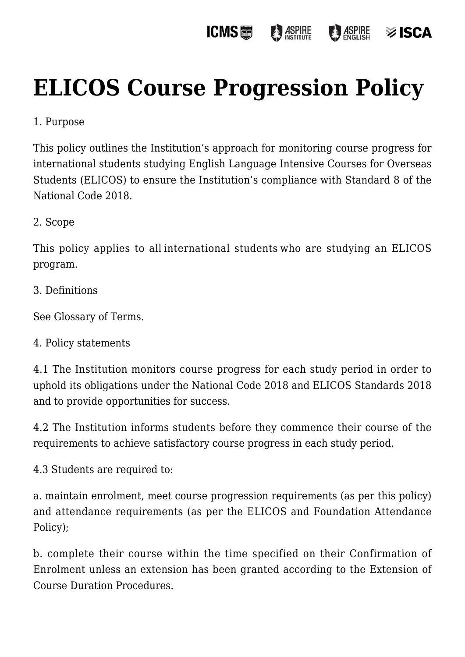#### **ICMS圖 ASPIRE**  $\frac{1}{2}$  ASPIRE isca≋

# **[ELICOS Course Progression Policy](https://policies.icms.edu.au/elicos-course-progression-policy/)**

# 1. Purpose

This policy outlines the Institution's approach for monitoring course progress for international students studying English Language Intensive Courses for Overseas Students (ELICOS) to ensure the Institution's compliance with Standard 8 of the National Code 2018.

## 2. Scope

This policy applies to all international students who are studying an ELICOS program.

3. Definitions

See Glossary of Terms.

### 4. Policy statements

4.1 The Institution monitors course progress for each study period in order to uphold its obligations under the National Code 2018 and ELICOS Standards 2018 and to provide opportunities for success.

4.2 The Institution informs students before they commence their course of the requirements to achieve satisfactory course progress in each study period.

4.3 Students are required to:

a. maintain enrolment, meet course progression requirements (as per this policy) and attendance requirements (as per the ELICOS and Foundation Attendance Policy);

b. complete their course within the time specified on their Confirmation of Enrolment unless an extension has been granted according to the Extension of Course Duration Procedures.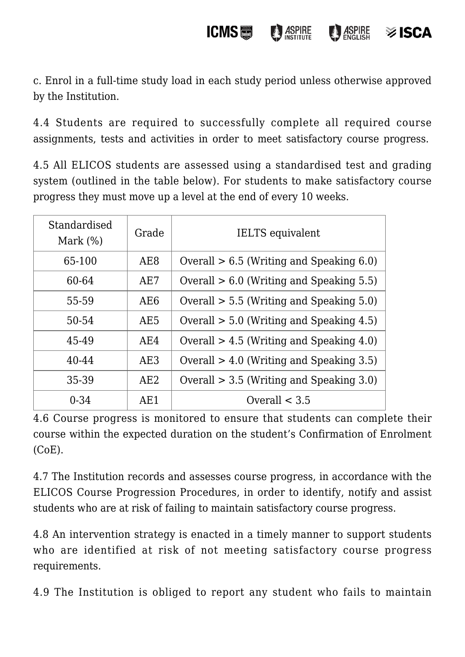**ICMS** ASPIRE **ASPIRE** isca≋

c. Enrol in a full-time study load in each study period unless otherwise approved by the Institution.

4.4 Students are required to successfully complete all required course assignments, tests and activities in order to meet satisfactory course progress.

4.5 All ELICOS students are assessed using a standardised test and grading system (outlined in the table below). For students to make satisfactory course progress they must move up a level at the end of every 10 weeks.

| Standardised<br>Mark $(\%)$ | Grade           | <b>IELTS</b> equivalent                    |
|-----------------------------|-----------------|--------------------------------------------|
| 65-100                      | AE <sub>8</sub> | Overall $> 6.5$ (Writing and Speaking 6.0) |
| 60-64                       | AE7             | Overall $> 6.0$ (Writing and Speaking 5.5) |
| 55-59                       | AE <sub>6</sub> | Overall $> 5.5$ (Writing and Speaking 5.0) |
| 50-54                       | AE <sub>5</sub> | Overall $> 5.0$ (Writing and Speaking 4.5) |
| 45-49                       | AE4             | Overall $> 4.5$ (Writing and Speaking 4.0) |
| 40-44                       | AE3             | Overall $> 4.0$ (Writing and Speaking 3.5) |
| 35-39                       | AE2             | Overall $> 3.5$ (Writing and Speaking 3.0) |
| $0 - 34$                    | AE1             | Overall $<$ 3.5                            |

4.6 Course progress is monitored to ensure that students can complete their course within the expected duration on the student's Confirmation of Enrolment (CoE).

4.7 The Institution records and assesses course progress, in accordance with the ELICOS Course Progression Procedures, in order to identify, notify and assist students who are at risk of failing to maintain satisfactory course progress.

4.8 An intervention strategy is enacted in a timely manner to support students who are identified at risk of not meeting satisfactory course progress requirements.

4.9 The Institution is obliged to report any student who fails to maintain